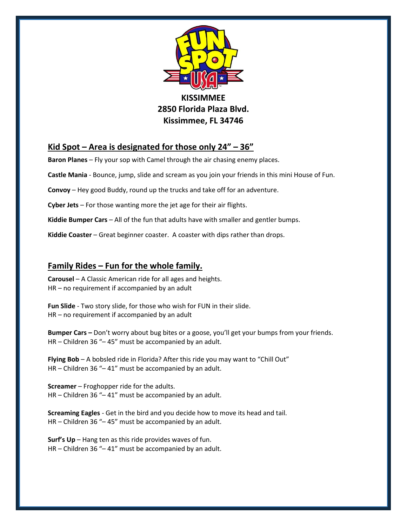

**2850 Florida Plaza Blvd. Kissimmee, FL 34746**

## **Kid Spot – Area is designated for those only 24" – 36"**

**Baron Planes** – Fly your sop with Camel through the air chasing enemy places.

**Castle Mania** - Bounce, jump, slide and scream as you join your friends in this mini House of Fun.

**Convoy** – Hey good Buddy, round up the trucks and take off for an adventure.

**Cyber Jets** – For those wanting more the jet age for their air flights.

**Kiddie Bumper Cars** – All of the fun that adults have with smaller and gentler bumps.

**Kiddie Coaster** – Great beginner coaster. A coaster with dips rather than drops.

## **Family Rides – Fun for the whole family.**

**Carousel** – A Classic American ride for all ages and heights. HR – no requirement if accompanied by an adult

**Fun Slide** - Two story slide, for those who wish for FUN in their slide. HR – no requirement if accompanied by an adult

**Bumper Cars –** Don't worry about bug bites or a goose, you'll get your bumps from your friends. HR – Children 36 "– 45" must be accompanied by an adult.

**Flying Bob** – A bobsled ride in Florida? After this ride you may want to "Chill Out" HR – Children 36 "– 41" must be accompanied by an adult.

**Screamer** – Froghopper ride for the adults. HR – Children 36 "– 41" must be accompanied by an adult.

**Screaming Eagles** - Get in the bird and you decide how to move its head and tail. HR – Children 36 "– 45" must be accompanied by an adult.

**Surf's Up** – Hang ten as this ride provides waves of fun. HR – Children 36 "– 41" must be accompanied by an adult.